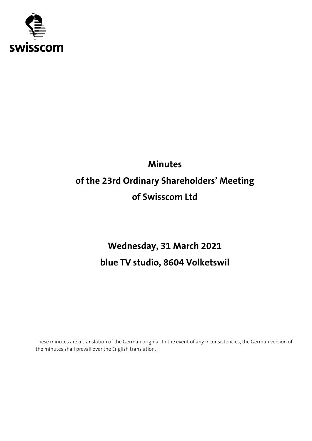

# **Minutes of the 23rd Ordinary Shareholders' Meeting of Swisscom Ltd**

## **Wednesday, 31 March 2021 blue TV studio, 8604 Volketswil**

These minutes are a translation of the German original. In the event of any inconsistencies, the German version of the minutes shall prevail over the English translation.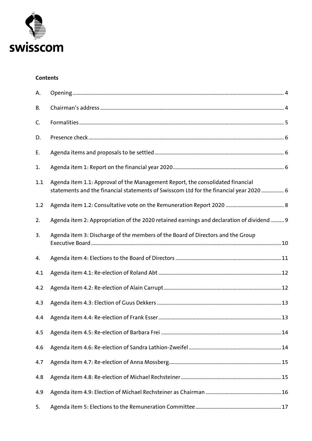

#### **Contents**

| А.  |                                                                                                                                                                          |  |
|-----|--------------------------------------------------------------------------------------------------------------------------------------------------------------------------|--|
| В.  |                                                                                                                                                                          |  |
| C.  |                                                                                                                                                                          |  |
| D.  |                                                                                                                                                                          |  |
| Ε.  |                                                                                                                                                                          |  |
| 1.  |                                                                                                                                                                          |  |
| 1.1 | Agenda item 1.1: Approval of the Management Report, the consolidated financial<br>statements and the financial statements of Swisscom Ltd for the financial year 2020  6 |  |
| 1.2 |                                                                                                                                                                          |  |
| 2.  | Agenda item 2: Appropriation of the 2020 retained earnings and declaration of dividend  9                                                                                |  |
| 3.  | Agenda item 3: Discharge of the members of the Board of Directors and the Group                                                                                          |  |
| 4.  |                                                                                                                                                                          |  |
| 4.1 |                                                                                                                                                                          |  |
| 4.2 |                                                                                                                                                                          |  |
| 4.3 |                                                                                                                                                                          |  |
| 4.4 |                                                                                                                                                                          |  |
| 4.5 |                                                                                                                                                                          |  |
| 4.6 |                                                                                                                                                                          |  |
| 4.7 |                                                                                                                                                                          |  |
| 4.8 |                                                                                                                                                                          |  |
| 4.9 |                                                                                                                                                                          |  |
| 5.  |                                                                                                                                                                          |  |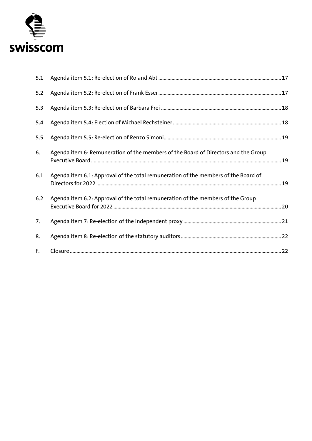

| 5.1 |                                                                                    |  |
|-----|------------------------------------------------------------------------------------|--|
| 5.2 |                                                                                    |  |
| 5.3 |                                                                                    |  |
| 5.4 |                                                                                    |  |
| 5.5 |                                                                                    |  |
| 6.  | Agenda item 6: Remuneration of the members of the Board of Directors and the Group |  |
| 6.1 | Agenda item 6.1: Approval of the total remuneration of the members of the Board of |  |
| 6.2 | Agenda item 6.2: Approval of the total remuneration of the members of the Group    |  |
| 7.  |                                                                                    |  |
| 8.  |                                                                                    |  |
| F.  |                                                                                    |  |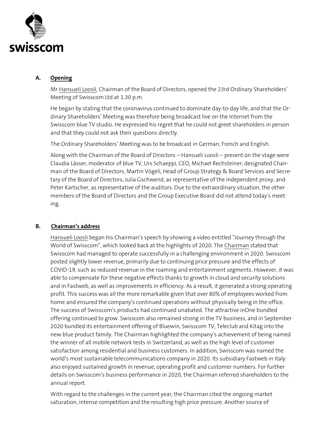

#### <span id="page-3-0"></span>**A. Opening**

Mr Hansueli Loosli, Chairman of the Board of Directors, opened the 23rd Ordinary Shareholders' Meeting of Swisscom Ltd at 1.30 p.m.

He began by stating that the coronavirus continued to dominate day-to-day life, and that the Ordinary Shareholders' Meeting was therefore being broadcast live on the Internet from the Swisscom blue TV studio. He expressed his regret that he could not greet shareholders in person and that they could not ask their questions directly.

The Ordinary Shareholders' Meeting was to be broadcast in German, French and English.

Along with the Chairman of the Board of Directors – Hansueli Loosli – present on the stage were Claudia Lässer, moderator of blue TV, Urs Schaeppi, CEO, Michael Rechsteiner, designated Chairman of the Board of Directors, Martin Vögeli, Head of Group Strategy & Board Services and Secretary of the Board of Directors, Julia Gschwend, as representative of the independent proxy, and Peter Kartscher, as representative of the auditors. Due to the extraordinary situation, the other members of the Board of Directors and the Group Executive Board did not attend today's meeting.

## <span id="page-3-1"></span>**B. Chairman's address**

Hansueli Loosli began his Chairman's speech by showing a video entitled "Journey through the World of Swisscom", which looked back at the highlights of 2020. The Chairman stated that Swisscom had managed to operate successfully in a challenging environment in 2020. Swisscom posted slightly lower revenue, primarily due to continuing price pressure and the effects of COVID-19, such as reduced revenue in the roaming and entertainment segments. However, it was able to compensate for these negative effects thanks to growth in cloud and security solutions and in Fastweb, as well as improvements in efficiency. As a result, it generated a strong operating profit. This success was all the more remarkable given that over 80% of employees worked from home and ensured the company's continued operations without physically being in the office. The success of Swisscom's products had continued unabated. The attractive inOne bundled offering continued to grow. Swisscom also remained strong in the TV business, and in September 2020 bundled its entertainment offering of Bluewin, Swisscom TV, Teleclub and Kitag into the new blue product family. The Chairman highlighted the company's achievement of being named the winner of all mobile network tests in Switzerland, as well as the high level of customer satisfaction among residential and business customers. In addition, Swisscom was named the world's most sustainable telecommunications company in 2020. Its subsidiary Fastweb in Italy also enjoyed sustained growth in revenue, operating profit and customer numbers. For further details on Swisscom's business performance in 2020, the Chairman referred shareholders to the annual report.

With regard to the challenges in the current year, the Chairman cited the ongoing market saturation, intense competition and the resulting high price pressure. Another source of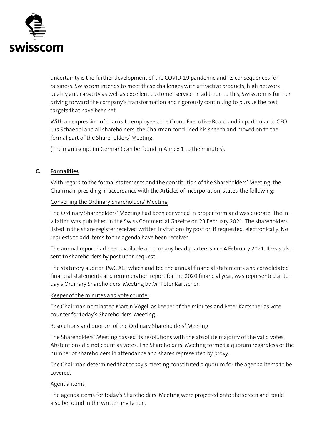

uncertainty is the further development of the COVID-19 pandemic and its consequences for business. Swisscom intends to meet these challenges with attractive products, high network quality and capacity as well as excellent customer service. In addition to this, Swisscom is further driving forward the company's transformation and rigorously continuing to pursue the cost targets that have been set.

With an expression of thanks to employees, the Group Executive Board and in particular to CEO Urs Schaeppi and all shareholders, the Chairman concluded his speech and moved on to the formal part of the Shareholders' Meeting.

(The manuscript (in German) can be found in Annex 1 to the minutes).

#### <span id="page-4-0"></span>**C. Formalities**

With regard to the formal statements and the constitution of the Shareholders' Meeting, the Chairman, presiding in accordance with the Articles of Incorporation, stated the following:

Convening the Ordinary Shareholders' Meeting

The Ordinary Shareholders' Meeting had been convened in proper form and was quorate. The invitation was published in the Swiss Commercial Gazette on 23 February 2021. The shareholders listed in the share register received written invitations by post or, if requested, electronically. No requests to add items to the agenda have been received

The annual report had been available at company headquarters since 4 February 2021. It was also sent to shareholders by post upon request.

The statutory auditor, PwC AG, which audited the annual financial statements and consolidated financial statements and remuneration report for the 2020 financial year, was represented at today's Ordinary Shareholders' Meeting by Mr Peter Kartscher.

#### Keeper of the minutes and vote counter

The Chairman nominated Martin Vögeli as keeper of the minutes and Peter Kartscher as vote counter for today's Shareholders' Meeting.

#### Resolutions and quorum of the Ordinary Shareholders' Meeting

The Shareholders' Meeting passed its resolutions with the absolute majority of the valid votes. Abstentions did not count as votes. The Shareholders' Meeting formed a quorum regardless of the number of shareholders in attendance and shares represented by proxy.

The Chairman determined that today's meeting constituted a quorum for the agenda items to be covered.

## Agenda items

The agenda items for today's Shareholders' Meeting were projected onto the screen and could also be found in the written invitation.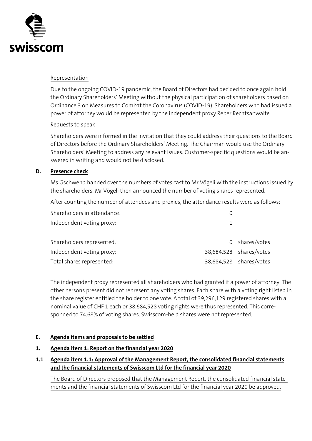

#### Representation

Due to the ongoing COVID-19 pandemic, the Board of Directors had decided to once again hold the Ordinary Shareholders' Meeting without the physical participation of shareholders based on Ordinance 3 on Measures to Combat the Coronavirus (COVID-19). Shareholders who had issued a power of attorney would be represented by the independent proxy Reber Rechtsanwälte.

#### Requests to speak

Shareholders were informed in the invitation that they could address their questions to the Board of Directors before the Ordinary Shareholders' Meeting. The Chairman would use the Ordinary Shareholders' Meeting to address any relevant issues. Customer-specific questions would be answered in writing and would not be disclosed.

#### <span id="page-5-0"></span>**D. Presence check**

Ms Gschwend handed over the numbers of votes cast to Mr Vögeli with the instructions issued by the shareholders. Mr Vögeli then announced the number of voting shares represented.

After counting the number of attendees and proxies, the attendance results were as follows:

| Shareholders in attendance: |                         |
|-----------------------------|-------------------------|
| Independent voting proxy:   |                         |
| Shareholders represented:   | 0 shares/votes          |
| Independent voting proxy:   | 38,684,528 shares/votes |
| Total shares represented:   | 38,684,528 shares/votes |

The independent proxy represented all shareholders who had granted it a power of attorney. The other persons present did not represent any voting shares. Each share with a voting right listed in the share register entitled the holder to one vote. A total of 39,296,129 registered shares with a nominal value of CHF 1 each or 38,684,528 voting rights were thus represented. This corresponded to 74.68% of voting shares. Swisscom-held shares were not represented.

#### <span id="page-5-1"></span>**E. Agenda items and proposals to be settled**

#### <span id="page-5-2"></span>**1. Agenda item 1: Report on the financial year 2020**

<span id="page-5-3"></span>**1.1 Agenda item 1.1: Approval of the Management Report, the consolidated financial statements and the financial statements of Swisscom Ltd for the financial year 2020**

The Board of Directors proposed that the Management Report, the consolidated financial statements and the financial statements of Swisscom Ltd for the financial year 2020 be approved.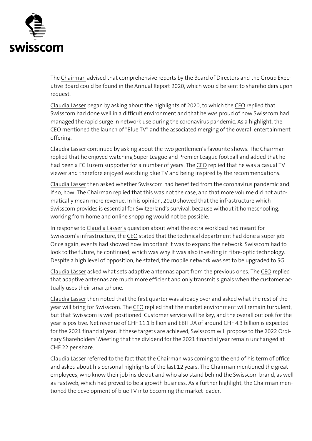

The Chairman advised that comprehensive reports by the Board of Directors and the Group Executive Board could be found in the Annual Report 2020, which would be sent to shareholders upon request.

Claudia Lässer began by asking about the highlights of 2020, to which the CEO replied that Swisscom had done well in a difficult environment and that he was proud of how Swisscom had managed the rapid surge in network use during the coronavirus pandemic. As a highlight, the CEO mentioned the launch of "Blue TV" and the associated merging of the overall entertainment offering.

Claudia Lässer continued by asking about the two gentlemen's favourite shows. The Chairman replied that he enjoyed watching Super League and Premier League football and added that he had been a FC Luzern supporter for a number of years. The CEO replied that he was a casual TV viewer and therefore enjoyed watching blue TV and being inspired by the recommendations.

Claudia Lässer then asked whether Swisscom had benefited from the coronavirus pandemic and, if so, how. The Chairman replied that this was not the case, and that more volume did not automatically mean more revenue. In his opinion, 2020 showed that the infrastructure which Swisscom provides is essential for Switzerland's survival, because without it homeschooling, working from home and online shopping would not be possible.

In response to Claudia Lässer's question about what the extra workload had meant for Swisscom's infrastructure, the CEO stated that the technical department had done a super job. Once again, events had showed how important it was to expand the network. Swisscom had to look to the future, he continued, which was why it was also investing in fibre-optic technology. Despite a high level of opposition, he stated, the mobile network was set to be upgraded to 5G.

Claudia Lässer asked what sets adaptive antennas apart from the previous ones. The CEO replied that adaptive antennas are much more efficient and only transmit signals when the customer actually uses their smartphone.

Claudia Lässer then noted that the first quarter was already over and asked what the rest of the year will bring for Swisscom. The CEO replied that the market environment will remain turbulent, but that Swisscom is well positioned. Customer service will be key, and the overall outlook for the year is positive. Net revenue of CHF 11.1 billion and EBITDA of around CHF 4.3 billion is expected for the 2021 financial year. If these targets are achieved, Swisscom will propose to the 2022 Ordinary Shareholders' Meeting that the dividend for the 2021 financial year remain unchanged at CHF 22 per share.

Claudia Lässer referred to the fact that the Chairman was coming to the end of his term of office and asked about his personal highlights of the last 12 years. The Chairman mentioned the great employees, who know their job inside out and who also stand behind the Swisscom brand, as well as Fastweb, which had proved to be a growth business. As a further highlight, the Chairman mentioned the development of blue TV into becoming the market leader.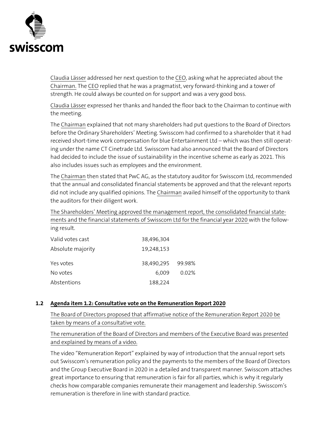

Claudia Lässer addressed her next question to the CEO, asking what he appreciated about the Chairman. The CEO replied that he was a pragmatist, very forward-thinking and a tower of strength. He could always be counted on for support and was a very good boss.

Claudia Lässer expressed her thanks and handed the floor back to the Chairman to continue with the meeting.

The Chairman explained that not many shareholders had put questions to the Board of Directors before the Ordinary Shareholders' Meeting. Swisscom had confirmed to a shareholder that it had received short-time work compensation for blue Entertainment Ltd – which was then still operating under the name CT Cinetrade Ltd. Swisscom had also announced that the Board of Directors had decided to include the issue of sustainability in the incentive scheme as early as 2021. This also includes issues such as employees and the environment.

The Chairman then stated that PwC AG, as the statutory auditor for Swisscom Ltd, recommended that the annual and consolidated financial statements be approved and that the relevant reports did not include any qualified opinions. The Chairman availed himself of the opportunity to thank the auditors for their diligent work.

The Shareholders' Meeting approved the management report, the consolidated financial statements and the financial statements of Swisscom Ltd for the financial year 2020 with the follow-

| Valid votes cast  | 38,496,304        |       |
|-------------------|-------------------|-------|
| Absolute majority | 19,248,153        |       |
| Yes votes         | 38,490,295 99.98% |       |
| No votes          | 6.009             | 0.02% |
| Abstentions       | 188,224           |       |

ing result.

#### <span id="page-7-0"></span>**1.2 Agenda item 1.2: Consultative vote on the Remuneration Report 2020**

The Board of Directors proposed that affirmative notice of the Remuneration Report 2020 be taken by means of a consultative vote.

The remuneration of the Board of Directors and members of the Executive Board was presented and explained by means of a video.

The video "Remuneration Report" explained by way of introduction that the annual report sets out Swisscom's remuneration policy and the payments to the members of the Board of Directors and the Group Executive Board in 2020 in a detailed and transparent manner. Swisscom attaches great importance to ensuring that remuneration is fair for all parties, which is why it regularly checks how comparable companies remunerate their management and leadership. Swisscom's remuneration is therefore in line with standard practice.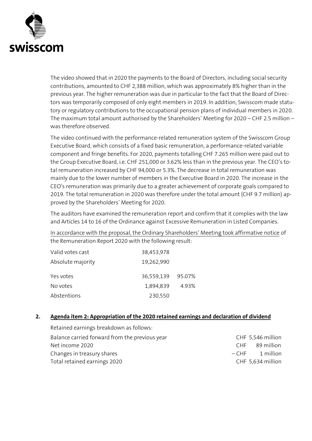

The video showed that in 2020 the payments to the Board of Directors, including social security contributions, amounted to CHF 2,388 million, which was approximately 8% higher than in the previous year. The higher remuneration was due in particular to the fact that the Board of Directors was temporarily composed of only eight members in 2019. In addition, Swisscom made statutory or regulatory contributions to the occupational pension plans of individual members in 2020. The maximum total amount authorised by the Shareholders' Meeting for 2020 – CHF 2.5 million – was therefore observed.

The video continued with the performance-related remuneration system of the Swisscom Group Executive Board, which consists of a fixed basic remuneration, a performance-related variable component and fringe benefits. For 2020, payments totalling CHF 7.265 million were paid out to the Group Executive Board, i.e. CHF 251,000 or 3.62% less than in the previous year. The CEO's total remuneration increased by CHF 94,000 or 5.3%. The decrease in total remuneration was mainly due to the lower number of members in the Executive Board in 2020. The increase in the CEO's remuneration was primarily due to a greater achievement of corporate goals compared to 2019. The total remuneration in 2020 was therefore under the total amount (CHF 9.7 million) approved by the Shareholders' Meeting for 2020.

The auditors have examined the remuneration report and confirm that it complies with the law and Articles 14 to 16 of the Ordinance against Excessive Remuneration in Listed Companies.

In accordance with the proposal, the Ordinary Shareholders' Meeting took affirmative notice of the Remuneration Report 2020 with the following result:

| Valid votes cast  | 38,453,978        |       |
|-------------------|-------------------|-------|
| Absolute majority | 19,262,990        |       |
| Yes votes         | 36,559,139 95.07% |       |
| No votes          | 1,894,839         | 4.93% |
| Abstentions       | 230,550           |       |

#### <span id="page-8-0"></span>**2. Agenda item 2: Appropriation of the 2020 retained earnings and declaration of dividend**

Retained earnings breakdown as follows: Balance carried forward from the previous year CHF 5,546 million Net income 2020 CHF 89 million Changes in treasury shares and the control of the control of the control of the control of the control of the 1 million Total retained earnings 2020 CHF 5,634 million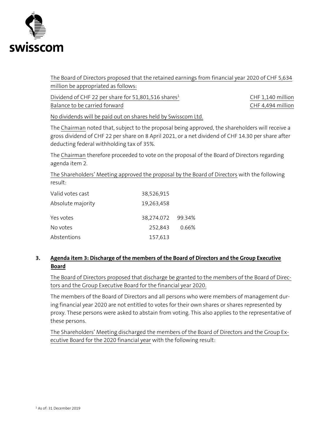

The Board of Directors proposed that the retained earnings from financial year 2020 of CHF 5,634 million be appropriated as follows:

Dividend of CHF 22 per share for 51,801,516 shares<sup>1</sup> CHF 1,140 million Balance to be carried forward **EXEC 100 CHF 4,494 million** 

No dividends will be paid out on shares held by Swisscom Ltd.

The Chairman noted that, subject to the proposal being approved, the shareholders will receive a gross dividend of CHF 22 per share on 8 April 2021, or a net dividend of CHF 14.30 per share after deducting federal withholding tax of 35%.

The Chairman therefore proceeded to vote on the proposal of the Board of Directors regarding agenda item 2.

The Shareholders' Meeting approved the proposal by the Board of Directors with the following result:

| Valid votes cast  | 38,526,915        |       |
|-------------------|-------------------|-------|
| Absolute majority | 19,263,458        |       |
| Yes votes         | 38,274.072 99.34% |       |
| No votes          | 252,843           | 0.66% |
| Abstentions       | 157,613           |       |

## <span id="page-9-0"></span>**3. Agenda item 3: Discharge of the members of the Board of Directors and the Group Executive Board**

The Board of Directors proposed that discharge be granted to the members of the Board of Directors and the Group Executive Board for the financial year 2020.

The members of the Board of Directors and all persons who were members of management during financial year 2020 are not entitled to votes for their own shares or shares represented by proxy. These persons were asked to abstain from voting. This also applies to the representative of these persons.

The Shareholders' Meeting discharged the members of the Board of Directors and the Group Executive Board for the 2020 financial year with the following result: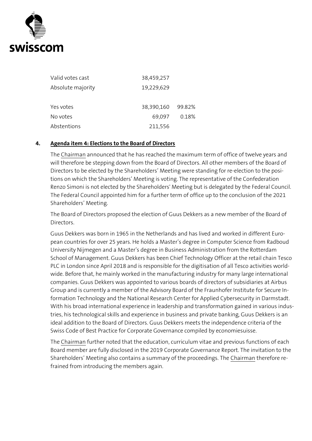

| Valid votes cast  | 38,459,257 |        |
|-------------------|------------|--------|
| Absolute majority | 19,229,629 |        |
| Yes votes         | 38,390,160 | 99.82% |
| No votes          | 69,097     | 0.18%  |
| Abstentions       | 211,556    |        |

#### <span id="page-10-0"></span>**4. Agenda item 4: Elections to the Board of Directors**

The Chairman announced that he has reached the maximum term of office of twelve years and will therefore be stepping down from the Board of Directors. All other members of the Board of Directors to be elected by the Shareholders' Meeting were standing for re-election to the positions on which the Shareholders' Meeting is voting. The representative of the Confederation Renzo Simoni is not elected by the Shareholders' Meeting but is delegated by the Federal Council. The Federal Council appointed him for a further term of office up to the conclusion of the 2021 Shareholders' Meeting.

The Board of Directors proposed the election of Guus Dekkers as a new member of the Board of **Directors** 

Guus Dekkers was born in 1965 in the Netherlands and has lived and worked in different European countries for over 25 years. He holds a Master's degree in Computer Science from Radboud University Nijmegen and a Master's degree in Business Administration from the Rotterdam School of Management. Guus Dekkers has been Chief Technology Officer at the retail chain Tesco PLC in London since April 2018 and is responsible for the digitisation of all Tesco activities worldwide. Before that, he mainly worked in the manufacturing industry for many large international companies. Guus Dekkers was appointed to various boards of directors of subsidiaries at Airbus Group and is currently a member of the Advisory Board of the Fraunhofer Institute for Secure Information Technology and the National Research Center for Applied Cybersecurity in Darmstadt. With his broad international experience in leadership and transformation gained in various industries, his technological skills and experience in business and private banking, Guus Dekkers is an ideal addition to the Board of Directors. Guus Dekkers meets the independence criteria of the Swiss Code of Best Practice for Corporate Governance compiled by economiesuisse.

The Chairman further noted that the education, curriculum vitae and previous functions of each Board member are fully disclosed in the 2019 Corporate Governance Report. The invitation to the Shareholders' Meeting also contains a summary of the proceedings. The Chairman therefore refrained from introducing the members again.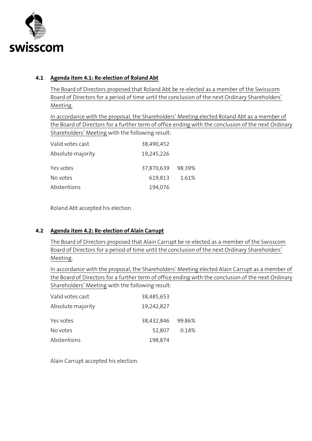

### <span id="page-11-0"></span>**4.1 Agenda item 4.1: Re-election of Roland Abt**

The Board of Directors proposed that Roland Abt be re-elected as a member of the Swisscom Board of Directors for a period of time until the conclusion of the next Ordinary Shareholders' Meeting.

In accordance with the proposal, the Shareholders' Meeting elected Roland Abt as a member of the Board of Directors for a further term of office ending with the conclusion of the next Ordinary Shareholders' Meeting with the following result:

| Valid votes cast  | 38,490,452        |       |
|-------------------|-------------------|-------|
| Absolute majority | 19,245,226        |       |
| Yes votes         | 37,870,639 98.39% |       |
| No votes          | 619,813           | 1.61% |
| Abstentions       | 194,076           |       |

Roland Abt accepted his election.

## <span id="page-11-1"></span>**4.2 Agenda item 4.2: Re-election of Alain Carrupt**

The Board of Directors proposed that Alain Carrupt be re-elected as a member of the Swisscom Board of Directors for a period of time until the conclusion of the next Ordinary Shareholders' Meeting.

In accordance with the proposal, the Shareholders' Meeting elected Alain Carrupt as a member of the Board of Directors for a further term of office ending with the conclusion of the next Ordinary Shareholders' Meeting with the following result:

| Valid votes cast  | 38,485,653        |       |
|-------------------|-------------------|-------|
| Absolute majority | 19,242,827        |       |
| Yes votes         | 38,432,846 99.86% |       |
| No votes          | 52,807            | 0.14% |
| Abstentions       | 198,874           |       |

Alain Carrupt accepted his election.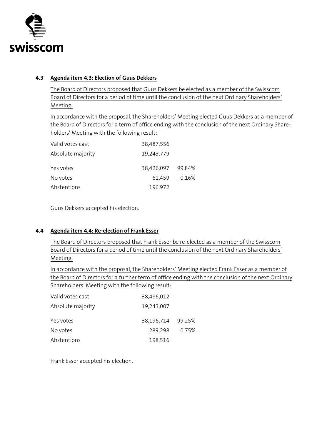

### <span id="page-12-0"></span>**4.3 Agenda item 4.3: Election of Guus Dekkers**

The Board of Directors proposed that Guus Dekkers be elected as a member of the Swisscom Board of Directors for a period of time until the conclusion of the next Ordinary Shareholders' Meeting.

In accordance with the proposal, the Shareholders' Meeting elected Guus Dekkers as a member of the Board of Directors for a term of office ending with the conclusion of the next Ordinary Shareholders' Meeting with the following result:

| Valid votes cast  | 38,487,556        |       |
|-------------------|-------------------|-------|
| Absolute majority | 19,243,779        |       |
| Yes votes         | 38,426,097 99.84% |       |
| No votes          | 61,459            | 0.16% |
| Abstentions       | 196,972           |       |

Guus Dekkers accepted his election.

#### <span id="page-12-1"></span>**4.4 Agenda item 4.4: Re-election of Frank Esser**

The Board of Directors proposed that Frank Esser be re-elected as a member of the Swisscom Board of Directors for a period of time until the conclusion of the next Ordinary Shareholders' Meeting.

In accordance with the proposal, the Shareholders' Meeting elected Frank Esser as a member of the Board of Directors for a further term of office ending with the conclusion of the next Ordinary Shareholders' Meeting with the following result:

| Valid votes cast  | 38,486,012        |       |
|-------------------|-------------------|-------|
| Absolute majority | 19,243,007        |       |
| Yes votes         | 38,196,714 99.25% |       |
| No votes          | 289,298           | 0.75% |
| Abstentions       | 198,516           |       |

Frank Esser accepted his election.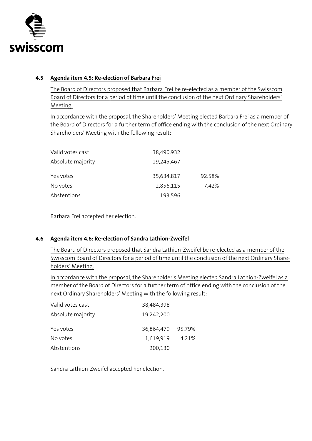

### <span id="page-13-0"></span>**4.5 Agenda item 4.5: Re-election of Barbara Frei**

The Board of Directors proposed that Barbara Frei be re-elected as a member of the Swisscom Board of Directors for a period of time until the conclusion of the next Ordinary Shareholders' Meeting.

In accordance with the proposal, the Shareholders' Meeting elected Barbara Frei as a member of the Board of Directors for a further term of office ending with the conclusion of the next Ordinary Shareholders' Meeting with the following result:

| Valid votes cast  | 38,490,932 |        |
|-------------------|------------|--------|
| Absolute majority | 19,245,467 |        |
| Yes votes         | 35,634,817 | 92.58% |
| No votes          | 2,856,115  | 7.42%  |
| Abstentions       | 193,596    |        |

Barbara Frei accepted her election.

## <span id="page-13-1"></span>**4.6 Agenda item 4.6: Re-election of Sandra Lathion-Zweifel**

The Board of Directors proposed that Sandra Lathion-Zweifel be re-elected as a member of the Swisscom Board of Directors for a period of time until the conclusion of the next Ordinary Shareholders' Meeting.

In accordance with the proposal, the Shareholder's Meeting elected Sandra Lathion-Zweifel as a member of the Board of Directors for a further term of office ending with the conclusion of the next Ordinary Shareholders' Meeting with the following result:

| Valid votes cast  | 38,484,398        |       |
|-------------------|-------------------|-------|
| Absolute majority | 19,242,200        |       |
| Yes votes         | 36,864,479 95.79% |       |
| No votes          | 1,619,919         | 4.21% |
| Abstentions       | 200,130           |       |

Sandra Lathion-Zweifel accepted her election.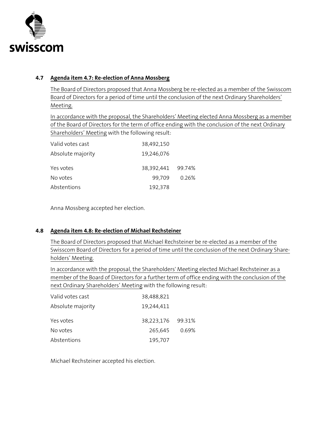

## <span id="page-14-0"></span>**4.7 Agenda item 4.7: Re-election of Anna Mossberg**

The Board of Directors proposed that Anna Mossberg be re-elected as a member of the Swisscom Board of Directors for a period of time until the conclusion of the next Ordinary Shareholders' Meeting.

In accordance with the proposal, the Shareholders' Meeting elected Anna Mossberg as a member of the Board of Directors for the term of office ending with the conclusion of the next Ordinary Shareholders' Meeting with the following result:

| Valid votes cast  | 38,492,150        |       |
|-------------------|-------------------|-------|
| Absolute majority | 19,246,076        |       |
| Yes votes         | 38,392,441 99.74% |       |
| No votes          | 99,709            | 0.26% |
| Abstentions       | 192,378           |       |

Anna Mossberg accepted her election.

#### <span id="page-14-1"></span>**4.8 Agenda item 4.8: Re-election of Michael Rechsteiner**

The Board of Directors proposed that Michael Rechsteiner be re-elected as a member of the Swisscom Board of Directors for a period of time until the conclusion of the next Ordinary Shareholders' Meeting.

In accordance with the proposal, the Shareholders' Meeting elected Michael Rechsteiner as a member of the Board of Directors for a further term of office ending with the conclusion of the next Ordinary Shareholders' Meeting with the following result:

| Valid votes cast  | 38,488,821        |       |
|-------------------|-------------------|-------|
| Absolute majority | 19,244,411        |       |
| Yes votes         | 38,223,176 99.31% |       |
| No votes          | 265,645           | 0.69% |
| Abstentions       | 195,707           |       |

Michael Rechsteiner accepted his election.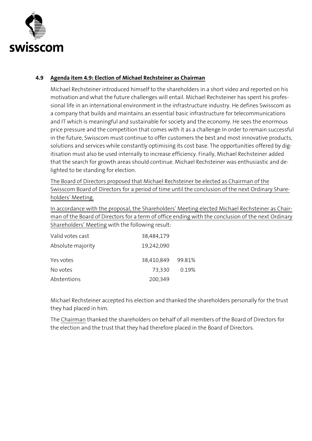

## <span id="page-15-0"></span>**4.9 Agenda item 4.9: Election of Michael Rechsteiner as Chairman**

Michael Rechsteiner introduced himself to the shareholders in a short video and reported on his motivation and what the future challenges will entail. Michael Rechsteiner has spent his professional life in an international environment in the infrastructure industry. He defines Swisscom as a company that builds and maintains an essential basic infrastructure for telecommunications and IT which is meaningful and sustainable for society and the economy. He sees the enormous price pressure and the competition that comes with it as a challenge In order to remain successful in the future, Swisscom must continue to offer customers the best and most innovative products, solutions and services while constantly optimising its cost base. The opportunities offered by digitisation must also be used internally to increase efficiency. Finally, Michael Rechsteiner added that the search for growth areas should continue. Michael Rechsteiner was enthusiastic and delighted to be standing for election.

The Board of Directors proposed that Michael Rechsteiner be elected as Chairman of the Swisscom Board of Directors for a period of time until the conclusion of the next Ordinary Shareholders' Meeting.

In accordance with the proposal, the Shareholders' Meeting elected Michael Rechsteiner as Chairman of the Board of Directors for a term of office ending with the conclusion of the next Ordinary Shareholders' Meeting with the following result:

| Valid votes cast  | 38,484,179        |       |
|-------------------|-------------------|-------|
| Absolute majority | 19,242,090        |       |
| Yes votes         | 38,410,849 99.81% |       |
| No votes          | 73,330            | 0.19% |
| Abstentions       | 200,349           |       |

Michael Rechsteiner accepted his election and thanked the shareholders personally for the trust they had placed in him.

The Chairman thanked the shareholders on behalf of all members of the Board of Directors for the election and the trust that they had therefore placed in the Board of Directors.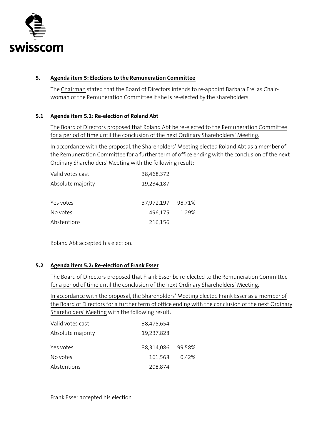

### <span id="page-16-0"></span>**5. Agenda item 5: Elections to the Remuneration Committee**

The Chairman stated that the Board of Directors intends to re-appoint Barbara Frei as Chairwoman of the Remuneration Committee if she is re-elected by the shareholders.

#### <span id="page-16-1"></span>**5.1 Agenda item 5.1: Re-election of Roland Abt**

The Board of Directors proposed that Roland Abt be re-elected to the Remuneration Committee for a period of time until the conclusion of the next Ordinary Shareholders' Meeting.

In accordance with the proposal, the Shareholders' Meeting elected Roland Abt as a member of the Remuneration Committee for a further term of office ending with the conclusion of the next Ordinary Shareholders' Meeting with the following result:

| Valid votes cast  | 38,468,372        |       |
|-------------------|-------------------|-------|
| Absolute majority | 19,234,187        |       |
| Yes votes         | 37,972,197 98.71% |       |
| No votes          | 496,175           | 1.29% |
| Abstentions       | 216,156           |       |

Roland Abt accepted his election.

#### <span id="page-16-2"></span>**5.2 Agenda item 5.2: Re-election of Frank Esser**

The Board of Directors proposed that Frank Esser be re-elected to the Remuneration Committee for a period of time until the conclusion of the next Ordinary Shareholders' Meeting.

In accordance with the proposal, the Shareholders' Meeting elected Frank Esser as a member of the Board of Directors for a further term of office ending with the conclusion of the next Ordinary Shareholders' Meeting with the following result:

| Valid votes cast  | 38,475,654        |       |
|-------------------|-------------------|-------|
| Absolute majority | 19,237,828        |       |
| Yes votes         | 38,314,086 99.58% |       |
| No votes          | 161,568           | 0.42% |
| Abstentions       | 208,874           |       |

Frank Esser accepted his election.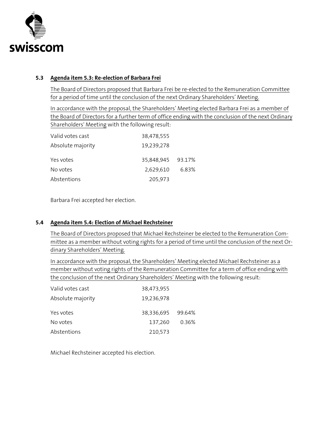

#### <span id="page-17-0"></span>**5.3 Agenda item 5.3: Re-election of Barbara Frei**

The Board of Directors proposed that Barbara Frei be re-elected to the Remuneration Committee for a period of time until the conclusion of the next Ordinary Shareholders' Meeting.

In accordance with the proposal, the Shareholders' Meeting elected Barbara Frei as a member of the Board of Directors for a further term of office ending with the conclusion of the next Ordinary Shareholders' Meeting with the following result:

| Valid votes cast  | 38,478,555        |       |
|-------------------|-------------------|-------|
| Absolute majority | 19,239,278        |       |
| Yes votes         | 35,848,945 93.17% |       |
| No votes          | 2,629,610         | 6.83% |
| Abstentions       | 205,973           |       |

Barbara Frei accepted her election.

### <span id="page-17-1"></span>**5.4 Agenda item 5.4: Election of Michael Rechsteiner**

The Board of Directors proposed that Michael Rechsteiner be elected to the Remuneration Committee as a member without voting rights for a period of time until the conclusion of the next Ordinary Shareholders' Meeting.

In accordance with the proposal, the Shareholders' Meeting elected Michael Rechsteiner as a member without voting rights of the Remuneration Committee for a term of office ending with the conclusion of the next Ordinary Shareholders' Meeting with the following result:

| Valid votes cast  | 38,473,955        |       |
|-------------------|-------------------|-------|
| Absolute majority | 19,236,978        |       |
| Yes votes         | 38,336,695 99.64% |       |
| No votes          | 137,260           | 0.36% |
| Abstentions       | 210,573           |       |

Michael Rechsteiner accepted his election.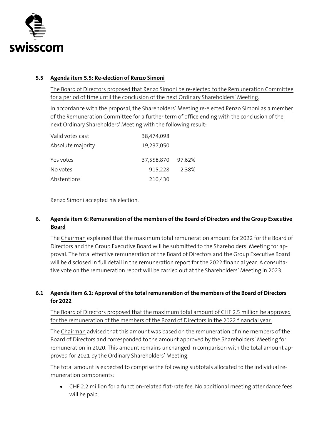

## <span id="page-18-0"></span>**5.5 Agenda item 5.5: Re-election of Renzo Simoni**

The Board of Directors proposed that Renzo Simoni be re-elected to the Remuneration Committee for a period of time until the conclusion of the next Ordinary Shareholders' Meeting.

In accordance with the proposal, the Shareholders' Meeting re-elected Renzo Simoni as a member of the Remuneration Committee for a further term of office ending with the conclusion of the next Ordinary Shareholders' Meeting with the following result:

| Valid votes cast  | 38,474,098 |        |
|-------------------|------------|--------|
| Absolute majority | 19,237,050 |        |
| Yes votes         | 37,558,870 | 97.62% |
| No votes          | 915,228    | 2.38%  |
| Abstentions       | 210,430    |        |

Renzo Simoni accepted his election.

## <span id="page-18-1"></span>**6. Agenda item 6: Remuneration of the members of the Board of Directors and the Group Executive Board**

The Chairman explained that the maximum total remuneration amount for 2022 for the Board of Directors and the Group Executive Board will be submitted to the Shareholders' Meeting for approval. The total effective remuneration of the Board of Directors and the Group Executive Board will be disclosed in full detail in the remuneration report for the 2022 financial year. A consultative vote on the remuneration report will be carried out at the Shareholders' Meeting in 2023.

## <span id="page-18-2"></span>**6.1 Agenda item 6.1: Approval of the total remuneration of the members of the Board of Directors for 2022**

The Board of Directors proposed that the maximum total amount of CHF 2.5 million be approved for the remuneration of the members of the Board of Directors in the 2022 financial year.

The Chairman advised that this amount was based on the remuneration of nine members of the Board of Directors and corresponded to the amount approved by the Shareholders' Meeting for remuneration in 2020. This amount remains unchanged in comparison with the total amount approved for 2021 by the Ordinary Shareholders' Meeting.

The total amount is expected to comprise the following subtotals allocated to the individual remuneration components:

• CHF 2.2 million for a function-related flat-rate fee. No additional meeting attendance fees will be paid.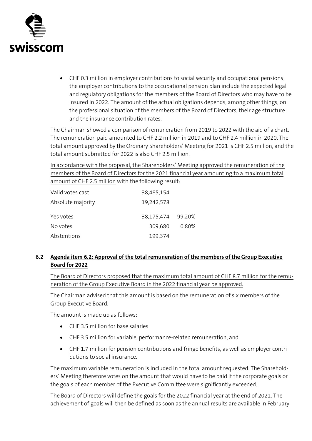

• CHF 0.3 million in employer contributions to social security and occupational pensions; the employer contributions to the occupational pension plan include the expected legal and regulatory obligations for the members of the Board of Directors who may have to be insured in 2022. The amount of the actual obligations depends, among other things, on the professional situation of the members of the Board of Directors, their age structure and the insurance contribution rates.

The Chairman showed a comparison of remuneration from 2019 to 2022 with the aid of a chart. The remuneration paid amounted to CHF 2.2 million in 2019 and to CHF 2.4 million in 2020. The total amount approved by the Ordinary Shareholders' Meeting for 2021 is CHF 2.5 million, and the total amount submitted for 2022 is also CHF 2.5 million.

In accordance with the proposal, the Shareholders' Meeting approved the remuneration of the members of the Board of Directors for the 2021 financial year amounting to a maximum total amount of CHF 2.5 million with the following result:

| Valid votes cast  | 38,485,154        |       |
|-------------------|-------------------|-------|
| Absolute majority | 19,242,578        |       |
| Yes votes         | 38,175,474 99.20% |       |
| No votes          | 309,680           | 0.80% |
| Abstentions       | 199,374           |       |

## <span id="page-19-0"></span>**6.2 Agenda item 6.2: Approval of the total remuneration of the members of the Group Executive Board for 2022**

The Board of Directors proposed that the maximum total amount of CHF 8.7 million for the remuneration of the Group Executive Board in the 2022 financial year be approved.

The Chairman advised that this amount is based on the remuneration of six members of the Group Executive Board.

The amount is made up as follows:

- CHF 3.5 million for base salaries
- CHF 3.5 million for variable, performance-related remuneration, and
- CHF 1.7 million for pension contributions and fringe benefits, as well as employer contributions to social insurance.

The maximum variable remuneration is included in the total amount requested. The Shareholders' Meeting therefore votes on the amount that would have to be paid if the corporate goals or the goals of each member of the Executive Committee were significantly exceeded.

The Board of Directors will define the goals for the 2022 financial year at the end of 2021. The achievement of goals will then be defined as soon as the annual results are available in February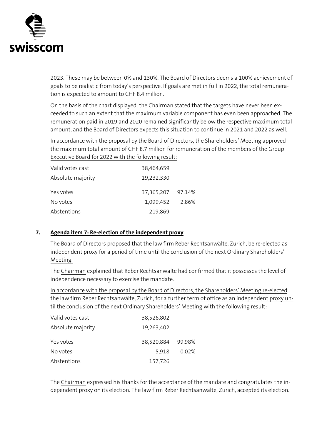

2023. These may be between 0% and 130%. The Board of Directors deems a 100% achievement of goals to be realistic from today's perspective. If goals are met in full in 2022, the total remuneration is expected to amount to CHF 8.4 million.

On the basis of the chart displayed, the Chairman stated that the targets have never been exceeded to such an extent that the maximum variable component has even been approached. The remuneration paid in 2019 and 2020 remained significantly below the respective maximum total amount, and the Board of Directors expects this situation to continue in 2021 and 2022 as well.

In accordance with the proposal by the Board of Directors, the Shareholders' Meeting approved the maximum total amount of CHF 8.7 million for remuneration of the members of the Group Executive Board for 2022 with the following result:

| Valid votes cast  | 38,464,659        |       |
|-------------------|-------------------|-------|
| Absolute majority | 19,232,330        |       |
| Yes votes         | 37,365,207 97.14% |       |
| No votes          | 1,099,452         | 2.86% |
| Abstentions       | 219,869           |       |

## <span id="page-20-0"></span>**7. Agenda item 7: Re-election of the independent proxy**

The Board of Directors proposed that the law firm Reber Rechtsanwälte, Zurich, be re-elected as independent proxy for a period of time until the conclusion of the next Ordinary Shareholders' Meeting.

The Chairman explained that Reber Rechtsanwälte had confirmed that it possesses the level of independence necessary to exercise the mandate.

In accordance with the proposal by the Board of Directors, the Shareholders' Meeting re-elected the law firm Reber Rechtsanwälte, Zurich, for a further term of office as an independent proxy until the conclusion of the next Ordinary Shareholders' Meeting with the following result:

| Valid votes cast  | 38,526,802        |       |
|-------------------|-------------------|-------|
| Absolute majority | 19,263,402        |       |
| Yes votes         | 38,520,884 99.98% |       |
| No votes          | 5.918             | 0.02% |
| Abstentions       | 157,726           |       |

The Chairman expressed his thanks for the acceptance of the mandate and congratulates the independent proxy on its election. The law firm Reber Rechtsanwälte, Zurich, accepted its election.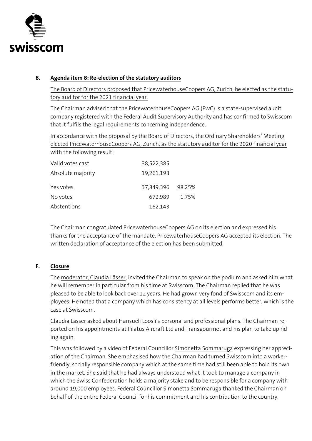

## <span id="page-21-0"></span>**8. Agenda item 8: Re-election of the statutory auditors**

The Board of Directors proposed that PricewaterhouseCoopers AG, Zurich, be elected as the statutory auditor for the 2021 financial year.

The Chairman advised that the PricewaterhouseCoopers AG (PwC) is a state-supervised audit company registered with the Federal Audit Supervisory Authority and has confirmed to Swisscom that it fulfils the legal requirements concerning independence.

In accordance with the proposal by the Board of Directors, the Ordinary Shareholders' Meeting elected PricewaterhouseCoopers AG, Zurich, as the statutory auditor for the 2020 financial year with the following result:

| 38,522,385 |                   |
|------------|-------------------|
| 19,261,193 |                   |
|            |                   |
| 672,989    | 1.75%             |
| 162,143    |                   |
|            | 37,849,396 98.25% |

The Chairman congratulated PricewaterhouseCoopers AG on its election and expressed his thanks for the acceptance of the mandate. PricewaterhouseCoopers AG accepted its election. The written declaration of acceptance of the election has been submitted.

## **F. Closure**

<span id="page-21-1"></span>The moderator, Claudia Lässer, invited the Chairman to speak on the podium and asked him what he will remember in particular from his time at Swisscom. The Chairman replied that he was pleased to be able to look back over 12 years. He had grown very fond of Swisscom and its employees. He noted that a company which has consistency at all levels performs better, which is the case at Swisscom.

Claudia Lässer asked about Hansueli Loosli's personal and professional plans. The Chairman reported on his appointments at Pilatus Aircraft Ltd and Transgourmet and his plan to take up riding again.

This was followed by a video of Federal Councillor Simonetta Sommaruga expressing her appreciation of the Chairman. She emphasised how the Chairman had turned Swisscom into a workerfriendly, socially responsible company which at the same time had still been able to hold its own in the market. She said that he had always understood what it took to manage a company in which the Swiss Confederation holds a majority stake and to be responsible for a company with around 19,000 employees. Federal Councillor Simonetta Sommaruga thanked the Chairman on behalf of the entire Federal Council for his commitment and his contribution to the country.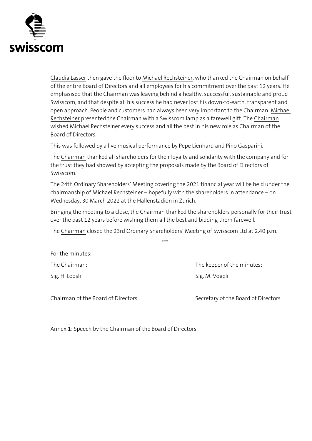

Claudia Lässer then gave the floor to Michael Rechsteiner, who thanked the Chairman on behalf of the entire Board of Directors and all employees for his commitment over the past 12 years. He emphasised that the Chairman was leaving behind a healthy, successful, sustainable and proud Swisscom, and that despite all his success he had never lost his down-to-earth, transparent and open approach. People and customers had always been very important to the Chairman. Michael Rechsteiner presented the Chairman with a Swisscom lamp as a farewell gift. The Chairman wished Michael Rechsteiner every success and all the best in his new role as Chairman of the Board of Directors.

This was followed by a live musical performance by Pepe Lienhard and Pino Gasparini.

The Chairman thanked all shareholders for their loyalty and solidarity with the company and for the trust they had showed by accepting the proposals made by the Board of Directors of Swisscom.

The 24th Ordinary Shareholders' Meeting covering the 2021 financial year will be held under the chairmanship of Michael Rechsteiner – hopefully with the shareholders in attendance – on Wednesday, 30 March 2022 at the Hallenstadion in Zurich.

Bringing the meeting to a close, the Chairman thanked the shareholders personally for their trust over the past 12 years before wishing them all the best and bidding them farewell.

The Chairman closed the 23rd Ordinary Shareholders' Meeting of Swisscom Ltd at 2.40 p.m.

\*\*\*

For the minutes:

The Chairman: The Chairman: Sig. H. Loosli Sig. M. Vögeli

Chairman of the Board of Directors Secretary of the Board of Directors

Annex 1: Speech by the Chairman of the Board of Directors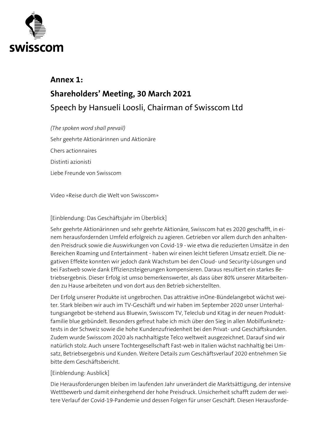

## **Annex 1: Shareholders' Meeting, 30 March 2021 Speech by Hansueli Loosli, Chairman of Swisscom Ltd**

*(The spoken word shall prevail)* Sehr geehrte Aktionärinnen und Aktionäre Chers actionnaires Distinti azionisti Liebe Freunde von Swisscom

Video «Reise durch die Welt von Swisscom»

#### [Einblendung: Das Geschäftsjahr im Überblick]

Sehr geehrte Aktionärinnen und sehr geehrte Aktionäre, Swisscom hat es 2020 geschafft, in einem herausfordernden Umfeld erfolgreich zu agieren. Getrieben vor allem durch den anhaltenden Preisdruck sowie die Auswirkungen von Covid-19 - wie etwa die reduzierten Umsätze in den Bereichen Roaming und Entertainment - haben wir einen leicht tieferen Umsatz erzielt. Die negativen Effekte konnten wir jedoch dank Wachstum bei den Cloud- und Security-Lösungen und bei Fastweb sowie dank Effizienzsteigerungen kompensieren. Daraus resultiert ein starkes Betriebsergebnis. Dieser Erfolg ist umso bemerkenswerter, als dass über 80% unserer Mitarbeitenden zu Hause arbeiteten und von dort aus den Betrieb sicherstellten.

Der Erfolg unserer Produkte ist ungebrochen. Das attraktive inOne-Bündelangebot wächst weiter. Stark bleiben wir auch im TV-Geschäft und wir haben im September 2020 unser Unterhaltungsangebot be-stehend aus Bluewin, Swisscom TV, Teleclub und Kitag in der neuen Produktfamilie blue gebündelt. Besonders gefreut habe ich mich über den Sieg in allen Mobilfunknetztests in der Schweiz sowie die hohe Kundenzufriedenheit bei den Privat- und Geschäftskunden. Zudem wurde Swisscom 2020 als nachhaltigste Telco weltweit ausgezeichnet. Darauf sind wir natürlich stolz. Auch unsere Tochtergesellschaft Fast-web in Italien wächst nachhaltig bei Umsatz, Betriebsergebnis und Kunden. Weitere Details zum Geschäftsverlauf 2020 entnehmen Sie bitte dem Geschäftsbericht.

#### [Einblendung: Ausblick]

Die Herausforderungen bleiben im laufenden Jahr unverändert die Marktsättigung, der intensive Wettbewerb und damit einhergehend der hohe Preisdruck. Unsicherheit schafft zudem der weitere Verlauf der Covid-19-Pandemie und dessen Folgen für unser Geschäft. Diesen Herausforde-